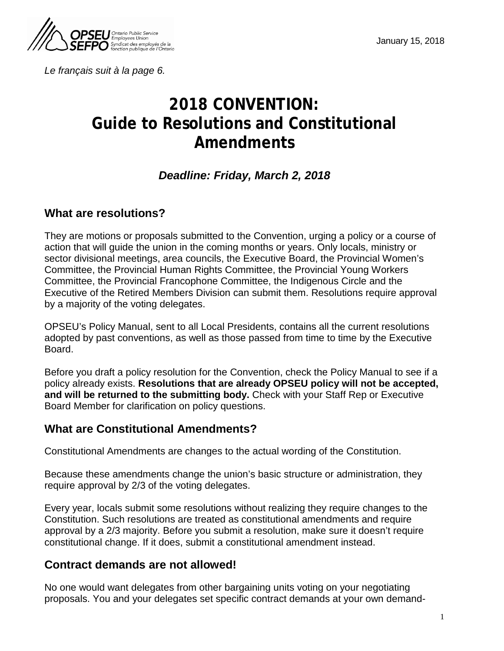

*Le français suit à la page 6.* 

# **2018 CONVENTION: Guide to Resolutions and Constitutional Amendments**

## *Deadline: Friday, March 2, 2018*

## **What are resolutions?**

They are motions or proposals submitted to the Convention, urging a policy or a course of action that will guide the union in the coming months or years. Only locals, ministry or sector divisional meetings, area councils, the Executive Board, the Provincial Women's Committee, the Provincial Human Rights Committee, the Provincial Young Workers Committee, the Provincial Francophone Committee, the Indigenous Circle and the Executive of the Retired Members Division can submit them. Resolutions require approval by a majority of the voting delegates.

OPSEU's Policy Manual, sent to all Local Presidents, contains all the current resolutions adopted by past conventions, as well as those passed from time to time by the Executive Board.

Before you draft a policy resolution for the Convention, check the Policy Manual to see if a policy already exists. **Resolutions that are already OPSEU policy will not be accepted, and will be returned to the submitting body.** Check with your Staff Rep or Executive Board Member for clarification on policy questions.

### **What are Constitutional Amendments?**

Constitutional Amendments are changes to the actual wording of the Constitution.

Because these amendments change the union's basic structure or administration, they require approval by 2/3 of the voting delegates.

Every year, locals submit some resolutions without realizing they require changes to the Constitution. Such resolutions are treated as constitutional amendments and require approval by a 2/3 majority. Before you submit a resolution, make sure it doesn't require constitutional change. If it does, submit a constitutional amendment instead.

### **Contract demands are not allowed!**

No one would want delegates from other bargaining units voting on your negotiating proposals. You and your delegates set specific contract demands at your own demand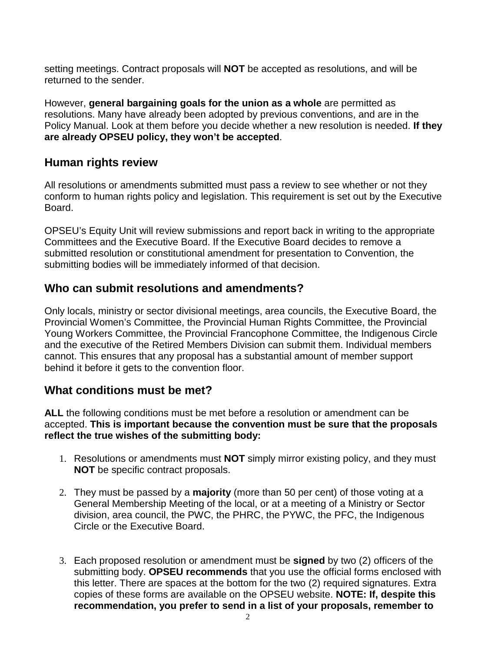setting meetings. Contract proposals will **NOT** be accepted as resolutions, and will be returned to the sender.

However, **general bargaining goals for the union as a whole** are permitted as resolutions. Many have already been adopted by previous conventions, and are in the Policy Manual. Look at them before you decide whether a new resolution is needed. **If they are already OPSEU policy, they won't be accepted**.

## **Human rights review**

All resolutions or amendments submitted must pass a review to see whether or not they conform to human rights policy and legislation. This requirement is set out by the Executive Board.

OPSEU's Equity Unit will review submissions and report back in writing to the appropriate Committees and the Executive Board. If the Executive Board decides to remove a submitted resolution or constitutional amendment for presentation to Convention, the submitting bodies will be immediately informed of that decision.

## **Who can submit resolutions and amendments?**

Only locals, ministry or sector divisional meetings, area councils, the Executive Board, the Provincial Women's Committee, the Provincial Human Rights Committee, the Provincial Young Workers Committee, the Provincial Francophone Committee, the Indigenous Circle and the executive of the Retired Members Division can submit them. Individual members cannot. This ensures that any proposal has a substantial amount of member support behind it before it gets to the convention floor.

## **What conditions must be met?**

**ALL** the following conditions must be met before a resolution or amendment can be accepted. **This is important because the convention must be sure that the proposals reflect the true wishes of the submitting body:**

- 1. Resolutions or amendments must **NOT** simply mirror existing policy, and they must **NOT** be specific contract proposals.
- 2. They must be passed by a **majority** (more than 50 per cent) of those voting at a General Membership Meeting of the local, or at a meeting of a Ministry or Sector division, area council, the PWC, the PHRC, the PYWC, the PFC, the Indigenous Circle or the Executive Board.
- 3. Each proposed resolution or amendment must be **signed** by two (2) officers of the submitting body. **OPSEU recommends** that you use the official forms enclosed with this letter. There are spaces at the bottom for the two (2) required signatures. Extra copies of these forms are available on the OPSEU website. **NOTE: If, despite this recommendation, you prefer to send in a list of your proposals, remember to**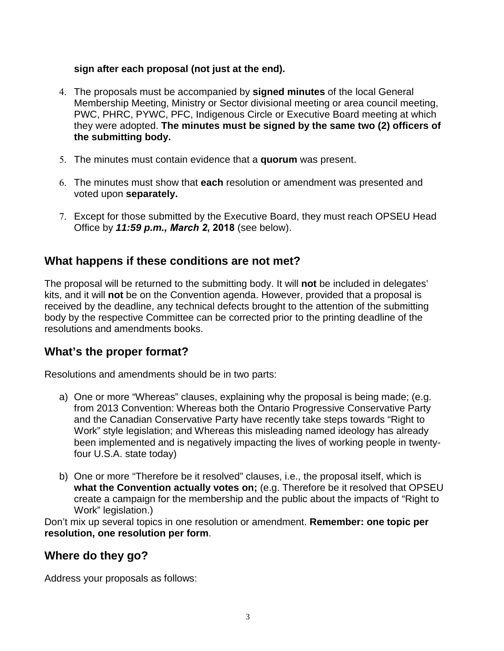#### **sign after each proposal (not just at the end).**

- 4. The proposals must be accompanied by **signed minutes** of the local General Membership Meeting, Ministry or Sector divisional meeting or area council meeting, PWC, PHRC, PYWC, PFC, Indigenous Circle or Executive Board meeting at which they were adopted. **The minutes must be signed by the same two (2) officers of the submitting body.**
- 5. The minutes must contain evidence that a **quorum** was present.
- 6. The minutes must show that **each** resolution or amendment was presented and voted upon **separately.**
- 7. Except for those submitted by the Executive Board, they must reach OPSEU Head Office by *11:59 p.m., March 2***, 2018** (see below).

## **What happens if these conditions are not met?**

The proposal will be returned to the submitting body. It will **not** be included in delegates' kits, and it will **not** be on the Convention agenda. However, provided that a proposal is received by the deadline, any technical defects brought to the attention of the submitting body by the respective Committee can be corrected prior to the printing deadline of the resolutions and amendments books.

## **What's the proper format?**

Resolutions and amendments should be in two parts:

- a) One or more "Whereas" clauses, explaining why the proposal is being made; (e.g. from 2013 Convention: Whereas both the Ontario Progressive Conservative Party and the Canadian Conservative Party have recently take steps towards "Right to Work" style legislation; and Whereas this misleading named ideology has already been implemented and is negatively impacting the lives of working people in twentyfour U.S.A. state today)
- b) One or more "Therefore be it resolved" clauses, i.e., the proposal itself, which is **what the Convention actually votes on;** (e.g. Therefore be it resolved that OPSEU create a campaign for the membership and the public about the impacts of "Right to Work" legislation.)

Don't mix up several topics in one resolution or amendment. **Remember: one topic per resolution, one resolution per form**.

## **Where do they go?**

Address your proposals as follows: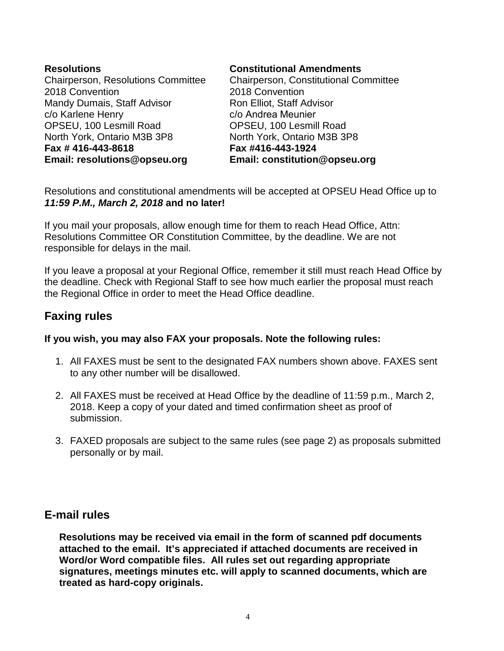| <b>Resolutions</b>                 | Con         |
|------------------------------------|-------------|
| Chairperson, Resolutions Committee | Chai        |
| 2018 Convention                    | 2018        |
| Mandy Dumais, Staff Advisor        | <b>Ron</b>  |
| c/o Karlene Henry                  | $c/o$ /     |
| OPSEU, 100 Lesmill Road            | <b>OPS</b>  |
| North York, Ontario M3B 3P8        | <b>Nort</b> |
| Fax #416-443-8618                  | Fax         |
| Email: resolutions@opseu.org       | Ema         |

#### **Constitutional Amendments**

irperson, Constitutional Committee **8 Convention** Elliot, Staff Advisor Andrea Meunier SEU, 100 Lesmill Road h York, Ontario M3B 3P8 **Fax #416-443-1924 Email: constitution@opseu.org**

Resolutions and constitutional amendments will be accepted at OPSEU Head Office up to *11:59 P.M., March 2, 2018* **and no later!**

If you mail your proposals, allow enough time for them to reach Head Office, Attn: Resolutions Committee OR Constitution Committee, by the deadline. We are not responsible for delays in the mail.

If you leave a proposal at your Regional Office, remember it still must reach Head Office by the deadline. Check with Regional Staff to see how much earlier the proposal must reach the Regional Office in order to meet the Head Office deadline.

## **Faxing rules**

#### **If you wish, you may also FAX your proposals. Note the following rules:**

- 1. All FAXES must be sent to the designated FAX numbers shown above. FAXES sent to any other number will be disallowed.
- 2. All FAXES must be received at Head Office by the deadline of 11:59 p.m., March 2, 2018. Keep a copy of your dated and timed confirmation sheet as proof of submission.
- 3. FAXED proposals are subject to the same rules (see page 2) as proposals submitted personally or by mail.

### **E-mail rules**

**Resolutions may be received via email in the form of scanned pdf documents attached to the email. It's appreciated if attached documents are received in Word/or Word compatible files. All rules set out regarding appropriate signatures, meetings minutes etc. will apply to scanned documents, which are treated as hard-copy originals.**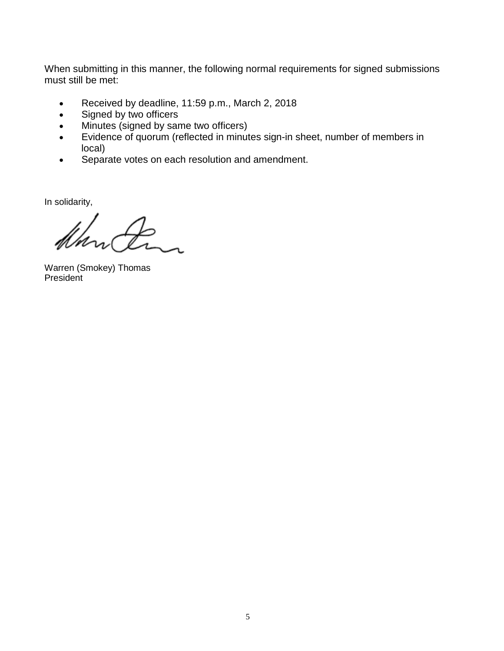When submitting in this manner, the following normal requirements for signed submissions must still be met:

- Received by deadline, 11:59 p.m., March 2, 2018
- Signed by two officers
- Minutes (signed by same two officers)
- Evidence of quorum (reflected in minutes sign-in sheet, number of members in local)
- Separate votes on each resolution and amendment.

In solidarity,

Warren (Smokey) Thomas **President**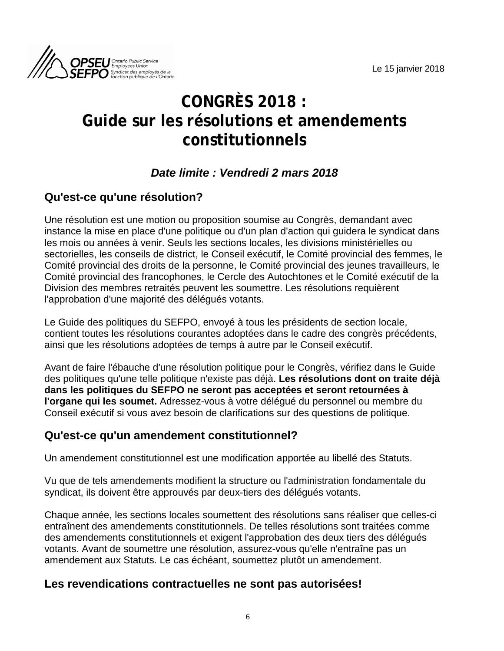

# **CONGRÈS 2018 : Guide sur les résolutions et amendements constitutionnels**

## *Date limite : Vendredi 2 mars 2018*

## **Qu'est-ce qu'une résolution?**

Une résolution est une motion ou proposition soumise au Congrès, demandant avec instance la mise en place d'une politique ou d'un plan d'action qui guidera le syndicat dans les mois ou années à venir. Seuls les sections locales, les divisions ministérielles ou sectorielles, les conseils de district, le Conseil exécutif, le Comité provincial des femmes, le Comité provincial des droits de la personne, le Comité provincial des jeunes travailleurs, le Comité provincial des francophones, le Cercle des Autochtones et le Comité exécutif de la Division des membres retraités peuvent les soumettre. Les résolutions requièrent l'approbation d'une majorité des délégués votants.

Le Guide des politiques du SEFPO, envoyé à tous les présidents de section locale, contient toutes les résolutions courantes adoptées dans le cadre des congrès précédents, ainsi que les résolutions adoptées de temps à autre par le Conseil exécutif.

Avant de faire l'ébauche d'une résolution politique pour le Congrès, vérifiez dans le Guide des politiques qu'une telle politique n'existe pas déjà. **Les résolutions dont on traite déjà dans les politiques du SEFPO ne seront pas acceptées et seront retournées à l'organe qui les soumet.** Adressez-vous à votre délégué du personnel ou membre du Conseil exécutif si vous avez besoin de clarifications sur des questions de politique.

## **Qu'est-ce qu'un amendement constitutionnel?**

Un amendement constitutionnel est une modification apportée au libellé des Statuts.

Vu que de tels amendements modifient la structure ou l'administration fondamentale du syndicat, ils doivent être approuvés par deux-tiers des délégués votants.

Chaque année, les sections locales soumettent des résolutions sans réaliser que celles-ci entraînent des amendements constitutionnels. De telles résolutions sont traitées comme des amendements constitutionnels et exigent l'approbation des deux tiers des délégués votants. Avant de soumettre une résolution, assurez-vous qu'elle n'entraîne pas un amendement aux Statuts. Le cas échéant, soumettez plutôt un amendement.

## **Les revendications contractuelles ne sont pas autorisées!**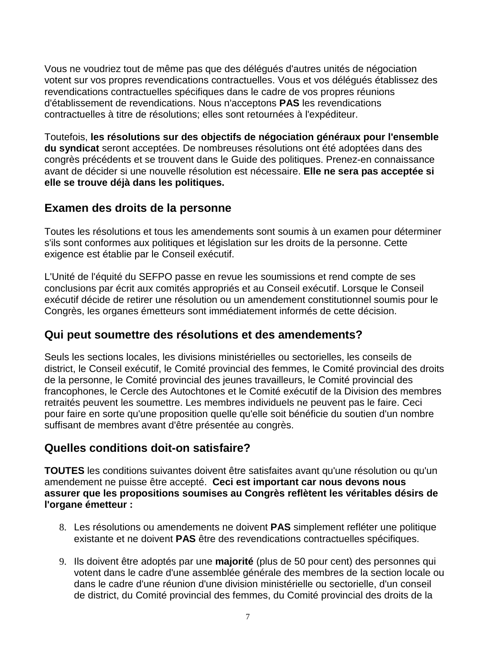Vous ne voudriez tout de même pas que des délégués d'autres unités de négociation votent sur vos propres revendications contractuelles. Vous et vos délégués établissez des revendications contractuelles spécifiques dans le cadre de vos propres réunions d'établissement de revendications. Nous n'acceptons **PAS** les revendications contractuelles à titre de résolutions; elles sont retournées à l'expéditeur.

Toutefois, **les résolutions sur des objectifs de négociation généraux pour l'ensemble du syndicat** seront acceptées. De nombreuses résolutions ont été adoptées dans des congrès précédents et se trouvent dans le Guide des politiques. Prenez-en connaissance avant de décider si une nouvelle résolution est nécessaire. **Elle ne sera pas acceptée si elle se trouve déjà dans les politiques.**

### **Examen des droits de la personne**

Toutes les résolutions et tous les amendements sont soumis à un examen pour déterminer s'ils sont conformes aux politiques et législation sur les droits de la personne. Cette exigence est établie par le Conseil exécutif.

L'Unité de l'équité du SEFPO passe en revue les soumissions et rend compte de ses conclusions par écrit aux comités appropriés et au Conseil exécutif. Lorsque le Conseil exécutif décide de retirer une résolution ou un amendement constitutionnel soumis pour le Congrès, les organes émetteurs sont immédiatement informés de cette décision.

### **Qui peut soumettre des résolutions et des amendements?**

Seuls les sections locales, les divisions ministérielles ou sectorielles, les conseils de district, le Conseil exécutif, le Comité provincial des femmes, le Comité provincial des droits de la personne, le Comité provincial des jeunes travailleurs, le Comité provincial des francophones, le Cercle des Autochtones et le Comité exécutif de la Division des membres retraités peuvent les soumettre. Les membres individuels ne peuvent pas le faire. Ceci pour faire en sorte qu'une proposition quelle qu'elle soit bénéficie du soutien d'un nombre suffisant de membres avant d'être présentée au congrès.

### **Quelles conditions doit-on satisfaire?**

**TOUTES** les conditions suivantes doivent être satisfaites avant qu'une résolution ou qu'un amendement ne puisse être accepté. **Ceci est important car nous devons nous assurer que les propositions soumises au Congrès reflètent les véritables désirs de l'organe émetteur :**

- 8. Les résolutions ou amendements ne doivent **PAS** simplement refléter une politique existante et ne doivent **PAS** être des revendications contractuelles spécifiques.
- 9. Ils doivent être adoptés par une **majorité** (plus de 50 pour cent) des personnes qui votent dans le cadre d'une assemblée générale des membres de la section locale ou dans le cadre d'une réunion d'une division ministérielle ou sectorielle, d'un conseil de district, du Comité provincial des femmes, du Comité provincial des droits de la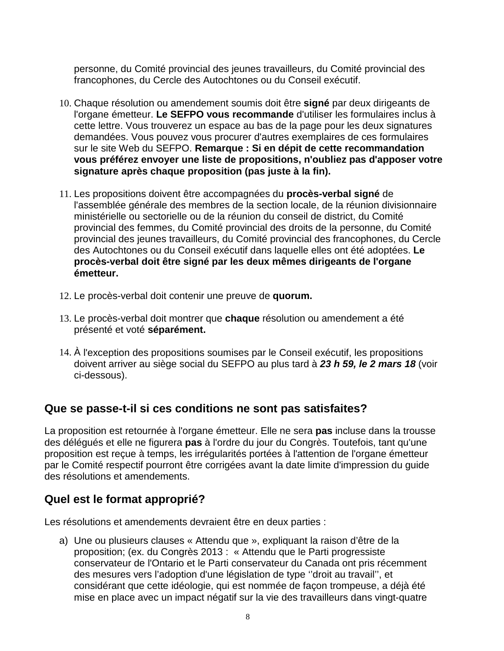personne, du Comité provincial des jeunes travailleurs, du Comité provincial des francophones, du Cercle des Autochtones ou du Conseil exécutif.

- 10. Chaque résolution ou amendement soumis doit être **signé** par deux dirigeants de l'organe émetteur. **Le SEFPO vous recommande** d'utiliser les formulaires inclus à cette lettre. Vous trouverez un espace au bas de la page pour les deux signatures demandées. Vous pouvez vous procurer d'autres exemplaires de ces formulaires sur le site Web du SEFPO. **Remarque : Si en dépit de cette recommandation vous préférez envoyer une liste de propositions, n'oubliez pas d'apposer votre signature après chaque proposition (pas juste à la fin).**
- 11. Les propositions doivent être accompagnées du **procès-verbal signé** de l'assemblée générale des membres de la section locale, de la réunion divisionnaire ministérielle ou sectorielle ou de la réunion du conseil de district, du Comité provincial des femmes, du Comité provincial des droits de la personne, du Comité provincial des jeunes travailleurs, du Comité provincial des francophones, du Cercle des Autochtones ou du Conseil exécutif dans laquelle elles ont été adoptées. **Le procès-verbal doit être signé par les deux mêmes dirigeants de l'organe émetteur.**
- 12. Le procès-verbal doit contenir une preuve de **quorum.**
- 13. Le procès-verbal doit montrer que **chaque** résolution ou amendement a été présenté et voté **séparément.**
- 14. À l'exception des propositions soumises par le Conseil exécutif, les propositions doivent arriver au siège social du SEFPO au plus tard à *23 h 59, le 2 mars 18* (voir ci-dessous).

## **Que se passe-t-il si ces conditions ne sont pas satisfaites?**

La proposition est retournée à l'organe émetteur. Elle ne sera **pas** incluse dans la trousse des délégués et elle ne figurera **pas** à l'ordre du jour du Congrès. Toutefois, tant qu'une proposition est reçue à temps, les irrégularités portées à l'attention de l'organe émetteur par le Comité respectif pourront être corrigées avant la date limite d'impression du guide des résolutions et amendements.

# **Quel est le format approprié?**

Les résolutions et amendements devraient être en deux parties :

a) Une ou plusieurs clauses « Attendu que », expliquant la raison d'être de la proposition; (ex. du Congrès 2013 : « Attendu que le Parti progressiste conservateur de l'Ontario et le Parti conservateur du Canada ont pris récemment des mesures vers l'adoption d'une législation de type ''droit au travail'', et considérant que cette idéologie, qui est nommée de façon trompeuse, a déjà été mise en place avec un impact négatif sur la vie des travailleurs dans vingt-quatre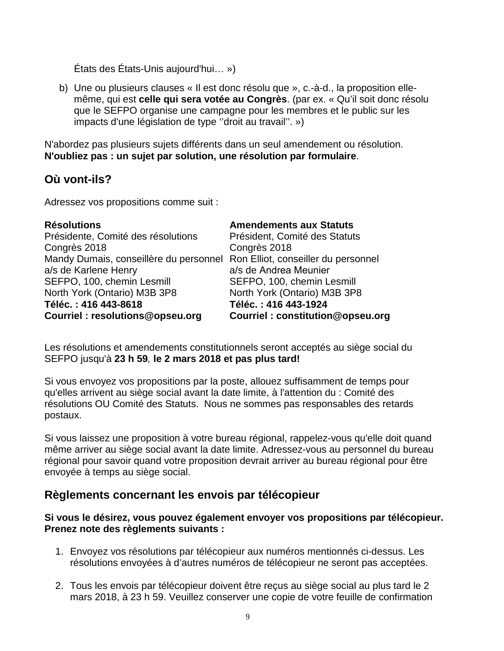États des États-Unis aujourd'hui… »)

b) Une ou plusieurs clauses « Il est donc résolu que », c.-à-d., la proposition ellemême, qui est **celle qui sera votée au Congrès**. (par ex. « Qu'il soit donc résolu que le SEFPO organise une campagne pour les membres et le public sur les impacts d'une législation de type ''droit au travail''. »)

N'abordez pas plusieurs sujets différents dans un seul amendement ou résolution. **N'oubliez pas : un sujet par solution, une résolution par formulaire**.

## **Où vont-ils?**

Adressez vos propositions comme suit :

| <b>Résolutions</b>                                                         | <b>Amendements aux Statuts</b>   |
|----------------------------------------------------------------------------|----------------------------------|
| Présidente, Comité des résolutions                                         | Président, Comité des Statuts    |
| Congrès 2018                                                               | Congrès 2018                     |
| Mandy Dumais, conseillère du personnel Ron Elliot, conseiller du personnel |                                  |
| a/s de Karlene Henry                                                       | a/s de Andrea Meunier            |
| SEFPO, 100, chemin Lesmill                                                 | SEFPO, 100, chemin Lesmill       |
| North York (Ontario) M3B 3P8                                               | North York (Ontario) M3B 3P8     |
| Téléc.: 416 443-8618                                                       | Téléc.: 416 443-1924             |
| Courriel: resolutions@opseu.org                                            | Courriel: constitution@opseu.org |

Les résolutions et amendements constitutionnels seront acceptés au siège social du SEFPO jusqu'à **23 h 59***,* **le 2 mars 2018 et pas plus tard!**

Si vous envoyez vos propositions par la poste, allouez suffisamment de temps pour qu'elles arrivent au siège social avant la date limite, à l'attention du : Comité des résolutions OU Comité des Statuts. Nous ne sommes pas responsables des retards postaux.

Si vous laissez une proposition à votre bureau régional, rappelez-vous qu'elle doit quand même arriver au siège social avant la date limite. Adressez-vous au personnel du bureau régional pour savoir quand votre proposition devrait arriver au bureau régional pour être envoyée à temps au siège social.

### **Règlements concernant les envois par télécopieur**

**Si vous le désirez, vous pouvez également envoyer vos propositions par télécopieur. Prenez note des règlements suivants :**

- 1. Envoyez vos résolutions par télécopieur aux numéros mentionnés ci-dessus. Les résolutions envoyées à d'autres numéros de télécopieur ne seront pas acceptées.
- 2. Tous les envois par télécopieur doivent être reçus au siège social au plus tard le 2 mars 2018, à 23 h 59. Veuillez conserver une copie de votre feuille de confirmation